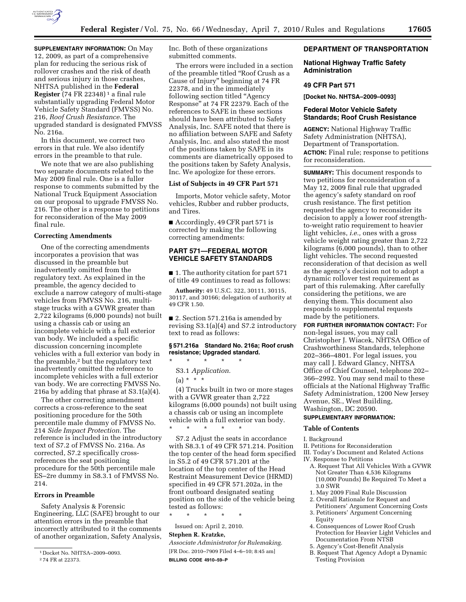

**SUPPLEMENTARY INFORMATION:** On May 12, 2009, as part of a comprehensive plan for reducing the serious risk of rollover crashes and the risk of death and serious injury in those crashes, NHTSA published in the **Federal Register** (74 FR 22348)<sup>1</sup> a final rule substantially upgrading Federal Motor Vehicle Safety Standard (FMVSS) No. 216, *Roof Crush Resistance.* The upgraded standard is designated FMVSS No. 216a.

In this document, we correct two errors in that rule. We also identify errors in the preamble to that rule.

We note that we are also publishing two separate documents related to the May 2009 final rule. One is a fuller response to comments submitted by the National Truck Equipment Association on our proposal to upgrade FMVSS No. 216. The other is a response to petitions for reconsideration of the May 2009 final rule.

#### **Correcting Amendments**

One of the correcting amendments incorporates a provision that was discussed in the preamble but inadvertently omitted from the regulatory text. As explained in the preamble, the agency decided to exclude a narrow category of multi-stage vehicles from FMVSS No. 216, multistage trucks with a GVWR greater than 2,722 kilograms (6,000 pounds) not built using a chassis cab or using an incomplete vehicle with a full exterior van body. We included a specific discussion concerning incomplete vehicles with a full exterior van body in the preamble,2 but the regulatory text inadvertently omitted the reference to incomplete vehicles with a full exterior van body. We are correcting FMVSS No. 216a by adding that phrase at S3.1(a)(4).

The other correcting amendment corrects a cross-reference to the seat positioning procedure for the 50th percentile male dummy of FMVSS No. 214 *Side Impact Protection.* The reference is included in the introductory text of S7.2 of FMVSS No. 216a. As corrected, S7.2 specifically crossreferences the seat positioning procedure for the 50th percentile male ES–2re dummy in S8.3.1 of FMVSS No. 214.

### **Errors in Preamble**

Safety Analysis & Forensic Engineering, LLC (SAFE) brought to our attention errors in the preamble that incorrectly attributed to it the comments of another organization, Safety Analysis, Inc. Both of these organizations submitted comments.

The errors were included in a section of the preamble titled ''Roof Crush as a Cause of Injury'' beginning at 74 FR 22378, and in the immediately following section titled ''Agency Response'' at 74 FR 22379. Each of the references to SAFE in these sections should have been attributed to Safety Analysis, Inc. SAFE noted that there is no affiliation between SAFE and Safety Analysis, Inc. and also stated the most of the positions taken by SAFE in its comments are diametrically opposed to the positions taken by Safety Analysis, Inc. We apologize for these errors.

### **List of Subjects in 49 CFR Part 571**

Imports, Motor vehicle safety, Motor vehicles, Rubber and rubber products, and Tires.

■ Accordingly, 49 CFR part 571 is corrected by making the following correcting amendments:

# **PART 571—FEDERAL MOTOR VEHICLE SAFETY STANDARDS**

■ 1. The authority citation for part 571 of title 49 continues to read as follows:

**Authority:** 49 U.S.C. 322, 30111, 30115, 30117, and 30166; delegation of authority at 49 CFR 1.50.

■ 2. Section 571.216a is amended by revising S3.1(a)(4) and S7.2 introductory text to read as follows:

### **§ 571.216a Standard No. 216a; Roof crush resistance; Upgraded standard.**

\* \* \* \* \* S3.1 *Application.* 

\* \* \* \* \*

- 
- $(a) * * * *$

(4) Trucks built in two or more stages with a GVWR greater than 2,722 kilograms (6,000 pounds) not built using a chassis cab or using an incomplete vehicle with a full exterior van body.

S7.2 Adjust the seats in accordance with S8.3.1 of 49 CFR 571.214. Position the top center of the head form specified in S5.2 of 49 CFR 571.201 at the location of the top center of the Head Restraint Measurement Device (HRMD) specified in 49 CFR 571.202a, in the front outboard designated seating position on the side of the vehicle being tested as follows:

\* \* \* \* \*

Issued on: April 2, 2010.

# **Stephen R. Kratzke,**

*Associate Administrator for Rulemaking.*  [FR Doc. 2010–7909 Filed 4–6–10; 8:45 am] **BILLING CODE 4910–59–P** 

### **DEPARTMENT OF TRANSPORTATION**

# **National Highway Traffic Safety Administration**

### **49 CFR Part 571**

**[Docket No. NHTSA–2009–0093]** 

### **Federal Motor Vehicle Safety Standards; Roof Crush Resistance**

**AGENCY:** National Highway Traffic Safety Administration (NHTSA), Department of Transportation. **ACTION:** Final rule; response to petitions for reconsideration.

**SUMMARY:** This document responds to two petitions for reconsideration of a May 12, 2009 final rule that upgraded the agency's safety standard on roof crush resistance. The first petition requested the agency to reconsider its decision to apply a lower roof strengthto-weight ratio requirement to heavier light vehicles, *i.e.,* ones with a gross vehicle weight rating greater than 2,722 kilograms (6,000 pounds), than to other light vehicles. The second requested reconsideration of that decision as well as the agency's decision not to adopt a dynamic rollover test requirement as part of this rulemaking. After carefully considering the petitions, we are denying them. This document also responds to supplemental requests made by the petitioners.

**FOR FURTHER INFORMATION CONTACT:** For non-legal issues, you may call Christopher J. Wiacek, NHTSA Office of Crashworthiness Standards, telephone 202–366–4801. For legal issues, you may call J. Edward Glancy, NHTSA Office of Chief Counsel, telephone 202– 366–2992. You may send mail to these officials at the National Highway Traffic Safety Administration, 1200 New Jersey Avenue, SE., West Building, Washington, DC 20590.

# **SUPPLEMENTARY INFORMATION:**

#### **Table of Contents**

#### I. Background

- II. Petitions for Reconsideration
- III. Today's Document and Related Actions IV. Response to Petitions
	- A. Request That All Vehicles With a GVWR Not Greater Than 4,536 Kilograms (10,000 Pounds) Be Required To Meet a 3.0 SWR
	- 1. May 2009 Final Rule Discussion
- 2. Overall Rationale for Request and
- Petitioners' Argument Concerning Costs 3. Petitioners' Argument Concerning Equity
- 4. Consequences of Lower Roof Crush Protection for Heavier Light Vehicles and Documentation From NTSB
- 5. Agency's Cost-Benefit Analysis
- B. Request That Agency Adopt a Dynamic Testing Provision

<sup>1</sup> Docket No. NHTSA–2009–0093.

<sup>2</sup> 74 FR at 22373.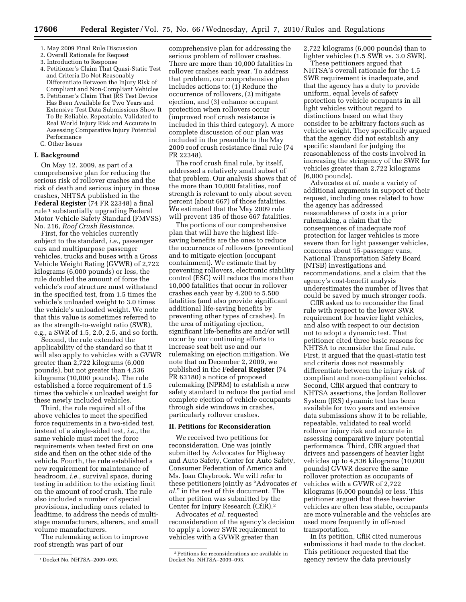- 1. May 2009 Final Rule Discussion
- 2. Overall Rationale for Request
- 3. Introduction to Response
- 4. Petitioner's Claim That Quasi-Static Test and Criteria Do Not Reasonably Differentiate Between the Injury Risk of Compliant and Non-Compliant Vehicles
- 5. Petitioner's Claim That JRS Test Device Has Been Available for Two Years and Extensive Test Data Submissions Show It To Be Reliable, Repeatable, Validated to Real World Injury Risk and Accurate in Assessing Comparative Injury Potential Performance
- C. Other Issues

### **I. Background**

On May 12, 2009, as part of a comprehensive plan for reducing the serious risk of rollover crashes and the risk of death and serious injury in those crashes, NHTSA published in the **Federal Register** (74 FR 22348) a final rule 1 substantially upgrading Federal Motor Vehicle Safety Standard (FMVSS) No. 216, *Roof Crush Resistance.* 

First, for the vehicles currently subject to the standard, *i.e.,* passenger cars and multipurpose passenger vehicles, trucks and buses with a Gross Vehicle Weight Rating (GVWR) of 2,722 kilograms (6,000 pounds) or less, the rule doubled the amount of force the vehicle's roof structure must withstand in the specified test, from 1.5 times the vehicle's unloaded weight to 3.0 times the vehicle's unloaded weight. We note that this value is sometimes referred to as the strength-to-weight ratio (SWR), e.g., a SWR of 1.5, 2.0, 2.5, and so forth.

Second, the rule extended the applicability of the standard so that it will also apply to vehicles with a GVWR greater than 2,722 kilograms (6,000 pounds), but not greater than 4,536 kilograms (10,000 pounds). The rule established a force requirement of 1.5 times the vehicle's unloaded weight for these newly included vehicles.

Third, the rule required all of the above vehicles to meet the specified force requirements in a two-sided test, instead of a single-sided test, *i.e.,* the same vehicle must meet the force requirements when tested first on one side and then on the other side of the vehicle. Fourth, the rule established a new requirement for maintenance of headroom, *i.e.,* survival space, during testing in addition to the existing limit on the amount of roof crush. The rule also included a number of special provisions, including ones related to leadtime, to address the needs of multistage manufacturers, alterers, and small volume manufacturers.

The rulemaking action to improve roof strength was part of our

comprehensive plan for addressing the serious problem of rollover crashes. There are more than 10,000 fatalities in rollover crashes each year. To address that problem, our comprehensive plan includes actions to: (1) Reduce the occurrence of rollovers, (2) mitigate ejection, and (3) enhance occupant protection when rollovers occur (improved roof crush resistance is included in this third category). A more complete discussion of our plan was included in the preamble to the May 2009 roof crush resistance final rule (74 FR 22348).

The roof crush final rule, by itself, addressed a relatively small subset of that problem. Our analysis shows that of the more than 10,000 fatalities, roof strength is relevant to only about seven percent (about 667) of those fatalities. We estimated that the May 2009 rule will prevent 135 of those 667 fatalities.

The portions of our comprehensive plan that will have the highest lifesaving benefits are the ones to reduce the occurrence of rollovers (prevention) and to mitigate ejection (occupant containment). We estimate that by preventing rollovers, electronic stability control (ESC) will reduce the more than 10,000 fatalities that occur in rollover crashes each year by 4,200 to 5,500 fatalities (and also provide significant additional life-saving benefits by preventing other types of crashes). In the area of mitigating ejection, significant life-benefits are and/or will occur by our continuing efforts to increase seat belt use and our rulemaking on ejection mitigation. We note that on December 2, 2009, we published in the **Federal Register** (74 FR 63180) a notice of proposed rulemaking (NPRM) to establish a new safety standard to reduce the partial and complete ejection of vehicle occupants through side windows in crashes, particularly rollover crashes.

#### **II. Petitions for Reconsideration**

We received two petitions for reconsideration. One was jointly submitted by Advocates for Highway and Auto Safety, Center for Auto Safety, Consumer Federation of America and Ms. Joan Claybrook. We will refer to these petitioners jointly as ''Advocates *et al.*'' in the rest of this document. The other petition was submitted by the Center for Injury Research (CfIR).2

Advocates *et al.* requested reconsideration of the agency's decision to apply a lower SWR requirement to vehicles with a GVWR greater than

2,722 kilograms (6,000 pounds) than to lighter vehicles (1.5 SWR vs. 3.0 SWR).

These petitioners argued that NHTSA's overall rationale for the 1.5 SWR requirement is inadequate, and that the agency has a duty to provide uniform, equal levels of safety protection to vehicle occupants in all light vehicles without regard to distinctions based on what they consider to be arbitrary factors such as vehicle weight. They specifically argued that the agency did not establish any specific standard for judging the reasonableness of the costs involved in increasing the stringency of the SWR for vehicles greater than 2,722 kilograms (6,000 pounds).

Advocates *et al.* made a variety of additional arguments in support of their request, including ones related to how the agency has addressed reasonableness of costs in a prior rulemaking, a claim that the consequences of inadequate roof protection for larger vehicles is more severe than for light passenger vehicles, concerns about 15-passenger vans, National Transportation Safety Board (NTSB) investigations and recommendations, and a claim that the agency's cost-benefit analysis underestimates the number of lives that could be saved by much stronger roofs.

CfIR asked us to reconsider the final rule with respect to the lower SWR requirement for heavier light vehicles, and also with respect to our decision not to adopt a dynamic test. That petitioner cited three basic reasons for NHTSA to reconsider the final rule. First, it argued that the quasi-static test and criteria does not reasonably differentiate between the injury risk of compliant and non-compliant vehicles. Second, CfIR argued that contrary to NHTSA assertions, the Jordan Rollover System (JRS) dynamic test has been available for two years and extensive data submissions show it to be reliable, repeatable, validated to real world rollover injury risk and accurate in assessing comparative injury potential performance. Third, CfIR argued that drivers and passengers of heavier light vehicles up to 4,536 kilograms (10,000 pounds) GVWR deserve the same rollover protection as occupants of vehicles with a GVWR of 2,722 kilograms (6,000 pounds) or less. This petitioner argued that these heavier vehicles are often less stable, occupants are more vulnerable and the vehicles are used more frequently in off-road transportation.

In its petition, CfIR cited numerous submissions it had made to the docket. This petitioner requested that the agency review the data previously

<sup>1</sup> Docket No. NHTSA–2009–093.

<sup>2</sup>Petitions for reconsiderations are available in Docket No. NHTSA–2009–093.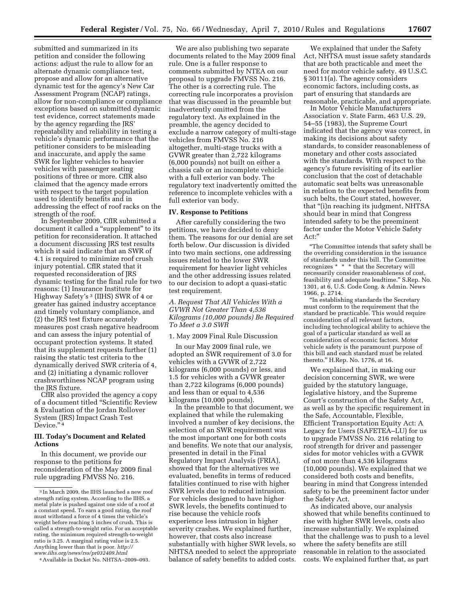submitted and summarized in its petition and consider the following actions: adjust the rule to allow for an alternate dynamic compliance test, propose and allow for an alternative dynamic test for the agency's New Car Assessment Program (NCAP) ratings, allow for non-compliance or compliance exceptions based on submitted dynamic test evidence, correct statements made by the agency regarding the JRS' repeatability and reliability in testing a vehicle's dynamic performance that the petitioner considers to be misleading and inaccurate, and apply the same SWR for lighter vehicles to heavier vehicles with passenger seating positions of three or more. CfIR also claimed that the agency made errors with respect to the target population used to identify benefits and in addressing the effect of roof racks on the strength of the roof.

In September 2009, CfIR submitted a document it called a ''supplement'' to its petition for reconsideration. It attached a document discussing JRS test results which it said indicate that an SWR of 4.1 is required to minimize roof crush injury potential. CfIR stated that it requested reconsideration of JRS dynamic testing for the final rule for two reasons: (1) Insurance Institute for Highway Safety's 3 (IIHS) SWR of 4 or greater has gained industry acceptance and timely voluntary compliance, and (2) the JRS test fixture accurately measures post crash negative headroom and can assess the injury potential of occupant protection systems. It stated that its supplement requests further (1) raising the static test criteria to the dynamically derived SWR criteria of 4, and (2) initiating a dynamic rollover crashworthiness NCAP program using the JRS fixture.

CfIR also provided the agency a copy of a document titled ''Scientific Review & Evaluation of the Jordan Rollover System (JRS) Impact Crash Test Device."<sup>4</sup>

### **III. Today's Document and Related Actions**

In this document, we provide our response to the petitions for reconsideration of the May 2009 final rule upgrading FMVSS No. 216.

4Available in Docket No. NHTSA–2009–093.

We are also publishing two separate documents related to the May 2009 final rule. One is a fuller response to comments submitted by NTEA on our proposal to upgrade FMVSS No. 216. The other is a correcting rule. The correcting rule incorporates a provision that was discussed in the preamble but inadvertently omitted from the regulatory text. As explained in the preamble, the agency decided to exclude a narrow category of multi-stage vehicles from FMVSS No. 216 altogether, multi-stage trucks with a GVWR greater than 2,722 kilograms (6,000 pounds) not built on either a chassis cab or an incomplete vehicle with a full exterior van body. The regulatory text inadvertently omitted the reference to incomplete vehicles with a full exterior van body.

### **IV. Response to Petitions**

After carefully considering the two petitions, we have decided to deny them. The reasons for our denial are set forth below. Our discussion is divided into two main sections, one addressing issues related to the lower SWR requirement for heavier light vehicles and the other addressing issues related to our decision to adopt a quasi-static test requirement.

*A. Request That All Vehicles With a GVWR Not Greater Than 4,536 Kilograms (10,000 pounds) Be Required To Meet a 3.0 SWR* 

#### 1. May 2009 Final Rule Discussion

In our May 2009 final rule, we adopted an SWR requirement of 3.0 for vehicles with a GVWR of 2,722 kilograms (6,000 pounds) or less, and 1.5 for vehicles with a GVWR greater than 2,722 kilograms (6,000 pounds) and less than or equal to 4,536 kilograms (10,000 pounds).

In the preamble to that document, we explained that while the rulemaking involved a number of key decisions, the selection of an SWR requirement was the most important one for both costs and benefits. We note that our analysis, presented in detail in the Final Regulatory Impact Analysis (FRIA), showed that for the alternatives we evaluated, benefits in terms of reduced fatalities continued to rise with higher SWR levels due to reduced intrusion. For vehicles designed to have higher SWR levels, the benefits continued to rise because the vehicle roofs experience less intrusion in higher severity crashes. We explained further, however, that costs also increase substantially with higher SWR levels, so NHTSA needed to select the appropriate balance of safety benefits to added costs.

We explained that under the Safety Act, NHTSA must issue safety standards that are both practicable and meet the need for motor vehicle safety. 49 U.S.C. § 30111(a). The agency considers economic factors, including costs, as part of ensuring that standards are reasonable, practicable, and appropriate.

In Motor Vehicle Manufacturers Association v. State Farm, 463 U.S. 29, 54–55 (1983), the Supreme Court indicated that the agency was correct, in making its decisions about safety standards, to consider reasonableness of monetary and other costs associated with the standards. With respect to the agency's future revisiting of its earlier conclusion that the cost of detachable automatic seat belts was unreasonable in relation to the expected benefits from such belts, the Court stated, however, that ''(i)n reaching its judgment, NHTSA should bear in mind that Congress intended safety to be the preeminent factor under the Motor Vehicle Safety Act:''

''The Committee intends that safety shall be the overriding consideration in the issuance of standards under this bill. The Committee recognizes \* \* \* that the Secretary will necessarily consider reasonableness of cost, feasibility and adequate leadtime.'' S.Rep. No. 1301, at 6, U.S. Code Cong. & Admin. News 1966, p. 2714.

''In establishing standards the Secretary must conform to the requirement that the standard be practicable. This would require consideration of all relevant factors, including technological ability to achieve the goal of a particular standard as well as consideration of economic factors. Motor vehicle safety is the paramount purpose of this bill and each standard must be related thereto.'' H.Rep. No. 1776, at 16.

We explained that, in making our decision concerning SWR, we were guided by the statutory language, legislative history, and the Supreme Court's construction of the Safety Act, as well as by the specific requirement in the Safe, Accountable, Flexible, Efficient Transportation Equity Act: A Legacy for Users (SAFETEA–LU) for us to upgrade FMVSS No. 216 relating to roof strength for driver and passenger sides for motor vehicles with a GVWR of not more than 4,536 kilograms (10,000 pounds). We explained that we considered both costs and benefits, bearing in mind that Congress intended safety to be the preeminent factor under the Safety Act.

As indicated above, our analysis showed that while benefits continued to rise with higher SWR levels, costs also increase substantially. We explained that the challenge was to push to a level where the safety benefits are still reasonable in relation to the associated costs. We explained further that, as part

<sup>3</sup> In March 2009, the IIHS launched a new roof strength rating system. According to the IIHS, a metal plate is pushed against one side of a roof at a constant speed. To earn a good rating, the roof must withstand a force of 4 times the vehicle's weight before reaching 5 inches of crush. This is called a strength-to-weight ratio. For an acceptable rating, the minimum required strength-to-weight ratio is 3.25. A marginal rating value is 2.5. Anything lower than that is poor. *http:// www.iihs.org/news/rss/pr032409.html*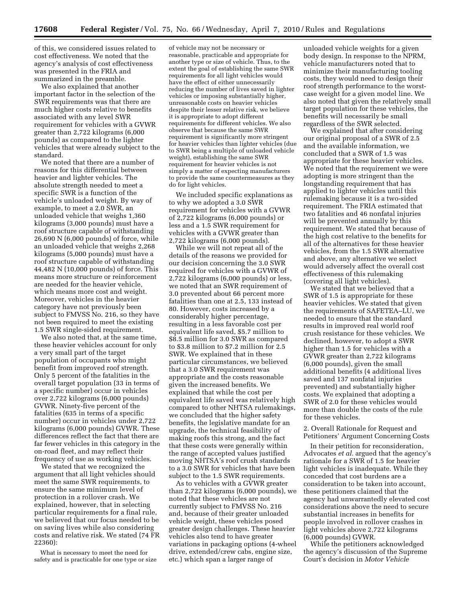of this, we considered issues related to cost effectiveness. We noted that the agency's analysis of cost effectiveness was presented in the FRIA and summarized in the preamble.

We also explained that another important factor in the selection of the SWR requirements was that there are much higher costs relative to benefits associated with any level SWR requirement for vehicles with a GVWR greater than 2,722 kilograms (6,000 pounds) as compared to the lighter vehicles that were already subject to the standard.

We noted that there are a number of reasons for this differential between heavier and lighter vehicles. The absolute strength needed to meet a specific SWR is a function of the vehicle's unloaded weight. By way of example, to meet a 2.0 SWR, an unloaded vehicle that weighs 1,360 kilograms (3,000 pounds) must have a roof structure capable of withstanding 26,690 N (6,000 pounds) of force, while an unloaded vehicle that weighs 2,268 kilograms (5,000 pounds) must have a roof structure capable of withstanding 44,482 N (10,000 pounds) of force. This means more structure or reinforcement are needed for the heavier vehicle, which means more cost and weight. Moreover, vehicles in the heavier category have not previously been subject to FMVSS No. 216, so they have not been required to meet the existing 1.5 SWR single-sided requirement.

We also noted that, at the same time, these heavier vehicles account for only a very small part of the target population of occupants who might benefit from improved roof strength. Only 5 percent of the fatalities in the overall target population (33 in terms of a specific number) occur in vehicles over 2,722 kilograms (6,000 pounds) GVWR. Ninety-five percent of the fatalities (635 in terms of a specific number) occur in vehicles under 2,722 kilograms (6,000 pounds) GVWR. These differences reflect the fact that there are far fewer vehicles in this category in the on-road fleet, and may reflect their frequency of use as working vehicles.

We stated that we recognized the argument that all light vehicles should meet the same SWR requirements, to ensure the same minimum level of protection in a rollover crash. We explained, however, that in selecting particular requirements for a final rule, we believed that our focus needed to be on saving lives while also considering costs and relative risk. We stated (74 FR 22360):

What is necessary to meet the need for safety and is practicable for one type or size

of vehicle may not be necessary or reasonable, practicable and appropriate for another type or size of vehicle. Thus, to the extent the goal of establishing the same SWR requirements for all light vehicles would have the effect of either unnecessarily reducing the number of lives saved in lighter vehicles or imposing substantially higher, unreasonable costs on heavier vehicles despite their lesser relative risk, we believe it is appropriate to adopt different requirements for different vehicles. We also observe that because the same SWR requirement is significantly more stringent for heavier vehicles than lighter vehicles (due to SWR being a multiple of unloaded vehicle weight), establishing the same SWR requirement for heavier vehicles is not simply a matter of expecting manufacturers to provide the same countermeasures as they do for light vehicles.

We included specific explanations as to why we adopted a 3.0 SWR requirement for vehicles with a GVWR of 2,722 kilograms (6,000 pounds) or less and a 1.5 SWR requirement for vehicles with a GVWR greater than 2,722 kilograms (6,000 pounds).

While we will not repeat all of the details of the reasons we provided for our decision concerning the 3.0 SWR required for vehicles with a GVWR of 2,722 kilograms (6,000 pounds) or less, we noted that an SWR requirement of 3.0 prevented about 66 percent more fatalities than one at 2.5, 133 instead of 80. However, costs increased by a considerably higher percentage, resulting in a less favorable cost per equivalent life saved, \$5.7 million to \$8.5 million for 3.0 SWR as compared to \$3.8 million to \$7.2 million for 2.5 SWR. We explained that in these particular circumstances, we believed that a 3.0 SWR requirement was appropriate and the costs reasonable given the increased benefits. We explained that while the cost per equivalent life saved was relatively high compared to other NHTSA rulemakings, we concluded that the higher safety benefits, the legislative mandate for an upgrade, the technical feasibility of making roofs this strong, and the fact that these costs were generally within the range of accepted values justified moving NHTSA's roof crush standards to a 3.0 SWR for vehicles that have been subject to the 1.5 SWR requirements.

As to vehicles with a GVWR greater than 2,722 kilograms (6,000 pounds), we noted that these vehicles are not currently subject to FMVSS No. 216 and, because of their greater unloaded vehicle weight, these vehicles posed greater design challenges. These heavier vehicles also tend to have greater variations in packaging options (4-wheel drive, extended/crew cabs, engine size, etc.) which span a larger range of

unloaded vehicle weights for a given body design. In response to the NPRM, vehicle manufacturers noted that to minimize their manufacturing tooling costs, they would need to design their roof strength performance to the worstcase weight for a given model line. We also noted that given the relatively small target population for these vehicles, the benefits will necessarily be small regardless of the SWR selected.

We explained that after considering our original proposal of a SWR of 2.5 and the available information, we concluded that a SWR of 1.5 was appropriate for these heavier vehicles. We noted that the requirement we were adopting is more stringent than the longstanding requirement that has applied to lighter vehicles until this rulemaking because it is a two-sided requirement. The FRIA estimated that two fatalities and 46 nonfatal injuries will be prevented annually by this requirement. We stated that because of the high cost relative to the benefits for all of the alternatives for these heavier vehicles, from the 1.5 SWR alternative and above, any alternative we select would adversely affect the overall cost effectiveness of this rulemaking (covering all light vehicles).

We stated that we believed that a SWR of 1.5 is appropriate for these heavier vehicles. We stated that given the requirements of SAFETEA–LU, we needed to ensure that the standard results in improved real world roof crush resistance for these vehicles. We declined, however, to adopt a SWR higher than 1.5 for vehicles with a GVWR greater than 2,722 kilograms (6,000 pounds), given the small additional benefits (4 additional lives saved and 137 nonfatal injuries prevented) and substantially higher costs. We explained that adopting a SWR of 2.0 for these vehicles would more than double the costs of the rule for these vehicles.

2. Overall Rationale for Request and Petitioners' Argument Concerning Costs

In their petition for reconsideration, Advocates *et al.* argued that the agency's rationale for a SWR of 1.5 for heavier light vehicles is inadequate. While they conceded that cost burdens are a consideration to be taken into account, these petitioners claimed that the agency had unwarrantedly elevated cost considerations above the need to secure substantial increases in benefits for people involved in rollover crashes in light vehicles above 2,722 kilograms (6,000 pounds) GVWR.

While the petitioners acknowledged the agency's discussion of the Supreme Court's decision in *Motor Vehicle*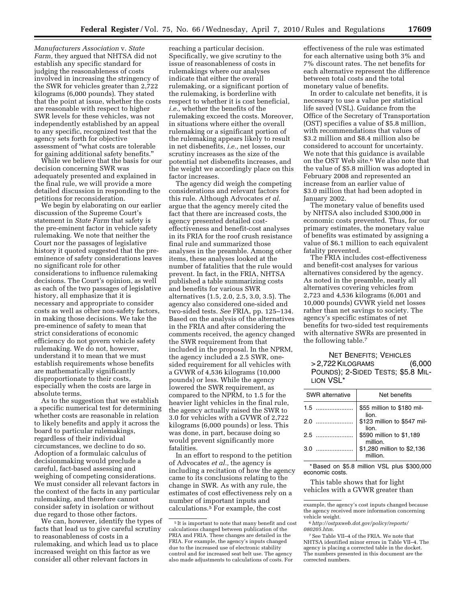*Manufacturers Association* v. *State Farm,* they argued that NHTSA did not establish any specific standard for judging the reasonableness of costs involved in increasing the stringency of the SWR for vehicles greater than 2,722 kilograms (6,000 pounds). They stated that the point at issue, whether the costs are reasonable with respect to higher SWR levels for these vehicles, was not independently established by an appeal to any specific, recognized test that the agency sets forth for objective assessment of ''what costs are tolerable for gaining additional safety benefits.''

While we believe that the basis for our decision concerning SWR was adequately presented and explained in the final rule, we will provide a more detailed discussion in responding to the petitions for reconsideration.

We begin by elaborating on our earlier discussion of the Supreme Court's statement in *State Farm* that safety is the pre-eminent factor in vehicle safety rulemaking. We note that neither the Court nor the passages of legislative history it quoted suggested that the preeminence of safety considerations leaves no significant role for other considerations to influence rulemaking decisions. The Court's opinion, as well as each of the two passages of legislative history, all emphasize that it is necessary and appropriate to consider costs as well as other non-safety factors, in making those decisions. We take the pre-eminence of safety to mean that strict considerations of economic efficiency do not govern vehicle safety rulemaking. We do not, however, understand it to mean that we must establish requirements whose benefits are mathematically significantly disproportionate to their costs, especially when the costs are large in absolute terms.

As to the suggestion that we establish a specific numerical test for determining whether costs are reasonable in relation to likely benefits and apply it across the board to particular rulemakings, regardless of their individual circumstances, we decline to do so. Adoption of a formulaic calculus of decisionmaking would preclude a careful, fact-based assessing and weighing of competing considerations. We must consider all relevant factors in the context of the facts in any particular rulemaking, and therefore cannot consider safety in isolation or without due regard to those other factors.

We can, however, identify the types of facts that lead us to give careful scrutiny to reasonableness of costs in a rulemaking, and which lead us to place increased weight on this factor as we consider all other relevant factors in

reaching a particular decision. Specifically, we give scrutiny to the issue of reasonableness of costs in rulemakings where our analyses indicate that either the overall rulemaking, or a significant portion of the rulemaking, is borderline with respect to whether it is cost beneficial, *i.e.,* whether the benefits of the rulemaking exceed the costs. Moreover, in situations where either the overall rulemaking or a significant portion of the rulemaking appears likely to result in net disbenefits, *i.e.,* net losses, our scrutiny increases as the size of the potential net disbenefits increases, and the weight we accordingly place on this factor increases.

The agency did weigh the competing considerations and relevant factors for this rule. Although Advocates *et al.*  argue that the agency merely cited the fact that there are increased costs, the agency presented detailed costeffectiveness and benefit-cost analyses in its FRIA for the roof crush resistance final rule and summarized those analyses in the preamble. Among other items, these analyses looked at the number of fatalities that the rule would prevent. In fact, in the FRIA, NHTSA published a table summarizing costs and benefits for various SWR alternatives (1.5, 2.0, 2.5, 3.0, 3.5). The agency also considered one-sided and two-sided tests. *See* FRIA, pp. 125–134. Based on the analysis of the alternatives in the FRIA and after considering the comments received, the agency changed the SWR requirement from that included in the proposal. In the NPRM, the agency included a 2.5 SWR, onesided requirement for all vehicles with a GVWR of 4,536 kilograms (10,000 pounds) or less. While the agency lowered the SWR requirement, as compared to the NPRM, to 1.5 for the heavier light vehicles in the final rule, the agency actually raised the SWR to 3.0 for vehicles with a GVWR of 2,722 kilograms (6,000 pounds) or less. This was done, in part, because doing so would prevent significantly more fatalities.

In an effort to respond to the petition of Advocates *et al.,* the agency is including a recitation of how the agency came to its conclusions relating to the change in SWR. As with any rule, the estimates of cost effectiveness rely on a number of important inputs and calculations.5 For example, the cost

effectiveness of the rule was estimated for each alternative using both 3% and 7% discount rates. The net benefits for each alternative represent the difference between total costs and the total monetary value of benefits.

In order to calculate net benefits, it is necessary to use a value per statistical life saved (VSL). Guidance from the Office of the Secretary of Transportation (OST) specifies a value of \$5.8 million, with recommendations that values of \$3.2 million and \$8.4 million also be considered to account for uncertainty. We note that this guidance is available on the OST Web site.6 We also note that the value of \$5.8 million was adopted in February 2008 and represented an increase from an earlier value of \$3.0 million that had been adopted in January 2002.

The monetary value of benefits used by NHTSA also included \$300,000 in economic costs prevented. Thus, for our primary estimates, the monetary value of benefits was estimated by assigning a value of \$6.1 million to each equivalent fatality prevented.

The FRIA includes cost-effectiveness and benefit-cost analyses for various alternatives considered by the agency. As noted in the preamble, nearly all alternatives covering vehicles from 2,723 and 4,536 kilograms (6,001 and 10,000 pounds) GVWR yield net losses rather than net savings to society. The agency's specific estimates of net benefits for two-sided test requirements with alternative SWRs are presented in the following table.7

NET BENEFITS; VEHICLES > 2,722 KILOGRAMS (6,000 POUNDS); 2-SIDED TESTS; \$5.8 MIL-LION VSL\*

| SWR alternative | Net benefits                          |
|-----------------|---------------------------------------|
| 1.5             | \$55 million to \$180 mil-<br>lion.   |
| 2.0             | \$123 million to \$547 mil-<br>lion.  |
| $2.5$           | \$590 million to \$1,189<br>million.  |
| 3.0             | \$1,280 million to \$2,136<br>million |

\* Based on \$5.8 million VSL plus \$300,000 economic costs.

This table shows that for light vehicles with a GVWR greater than

<sup>5</sup> It is important to note that many benefit and cost calculations changed between publication of the PRIA and FRIA. These changes are detailed in the FRIA. For example, the agency's inputs changed due to the increased use of electronic stability control and for increased seat belt use. The agency also made adjustments to calculations of costs. For

example, the agency's cost inputs changed because the agency received more information concerning<br>vehicle weight.

vehicle weight. 6*http://ostpxweb.dot.gov/policy/reports/* 

<sup>&</sup>lt;sup>7</sup> See Table VII–4 of the FRIA. We note that NHTSA identified minor errors in Table VII–4. The agency is placing a corrected table in the docket. The numbers presented in this document are the corrected numbers.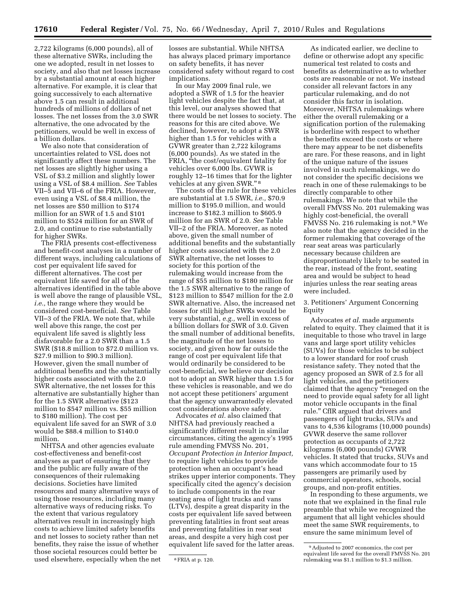2,722 kilograms (6,000 pounds), all of these alternative SWRs, including the one we adopted, result in net losses to society, and also that net losses increase by a substantial amount at each higher alternative. For example, it is clear that going successively to each alternative above 1.5 can result in additional hundreds of millions of dollars of net losses. The net losses from the 3.0 SWR alternative, the one advocated by the petitioners, would be well in excess of a billion dollars.

We also note that consideration of uncertainties related to VSL does not significantly affect these numbers. The net losses are slightly higher using a VSL of \$3.2 million and slightly lower using a VSL of \$8.4 million. *See* Tables VII–5 and VII–6 of the FRIA. However, even using a VSL of \$8.4 million, the net losses are \$50 million to \$174 million for an SWR of 1.5 and \$101 million to \$524 million for an SWR of 2.0, and continue to rise substantially for higher SWRs.

The FRIA presents cost-effectiveness and benefit-cost analyses in a number of different ways, including calculations of cost per equivalent life saved for different alternatives. The cost per equivalent life saved for all of the alternatives identified in the table above is well above the range of plausible VSL, *i.e.,* the range where they would be considered cost-beneficial. *See* Table VII–3 of the FRIA. We note that, while well above this range, the cost per equivalent life saved is slightly less disfavorable for a 2.0 SWR than a 1.5 SWR (\$18.8 million to \$72.0 million vs. \$27.9 million to \$90.3 million). However, given the small number of additional benefits and the substantially higher costs associated with the 2.0 SWR alternative, the net losses for this alternative are substantially higher than for the 1.5 SWR alternative (\$123 million to \$547 million vs. \$55 million to \$180 million). The cost per equivalent life saved for an SWR of 3.0 would be \$88.4 million to \$140.0 million.

NHTSA and other agencies evaluate cost-effectiveness and benefit-cost analyses as part of ensuring that they and the public are fully aware of the consequences of their rulemaking decisions. Societies have limited resources and many alternative ways of using those resources, including many alternative ways of reducing risks. To the extent that various regulatory alternatives result in increasingly high costs to achieve limited safety benefits and net losses to society rather than net benefits, they raise the issue of whether those societal resources could better be used elsewhere, especially when the net

losses are substantial. While NHTSA has always placed primary importance on safety benefits, it has never considered safety without regard to cost implications.

In our May 2009 final rule, we adopted a SWR of 1.5 for the heavier light vehicles despite the fact that, at this level, our analyses showed that there would be net losses to society. The reasons for this are cited above. We declined, however, to adopt a SWR higher than 1.5 for vehicles with a GVWR greater than 2,722 kilograms (6,000 pounds). As we stated in the FRIA, ''the cost/equivalent fatality for vehicles over 6,000 lbs. GVWR is roughly 12–16 times that for the lighter vehicles at any given SWR.'' 8

The costs of the rule for these vehicles are substantial at 1.5 SWR, *i.e.,* \$70.9 million to \$195.0 million, and would increase to \$182.3 million to \$605.9 million for an SWR of 2.0. *See* Table VII–2 of the FRIA. Moreover, as noted above, given the small number of additional benefits and the substantially higher costs associated with the 2.0 SWR alternative, the net losses to society for this portion of the rulemaking would increase from the range of \$55 million to \$180 million for the 1.5 SWR alternative to the range of \$123 million to \$547 million for the 2.0 SWR alternative. Also, the increased net losses for still higher SWRs would be very substantial, *e.g.,* well in excess of a billion dollars for SWR of 3.0. Given the small number of additional benefits, the magnitude of the net losses to society, and given how far outside the range of cost per equivalent life that would ordinarily be considered to be cost-beneficial, we believe our decision not to adopt an SWR higher than 1.5 for these vehicles is reasonable, and we do not accept these petitioners' argument that the agency unwarrantedly elevated cost considerations above safety.

Advocates *et al.* also claimed that NHTSA had previously reached a significantly different result in similar circumstances, citing the agency's 1995 rule amending FMVSS No. 201, *Occupant Protection in Interior Impact,*  to require light vehicles to provide protection when an occupant's head strikes upper interior components. They specifically cited the agency's decision to include components in the rear seating area of light trucks and vans (LTVs), despite a great disparity in the costs per equivalent life saved between preventing fatalities in front seat areas and preventing fatalities in rear seat areas, and despite a very high cost per equivalent life saved for the latter areas.

As indicated earlier, we decline to define or otherwise adopt any specific numerical test related to costs and benefits as determinative as to whether costs are reasonable or not. We instead consider all relevant factors in any particular rulemaking, and do not consider this factor in isolation. Moreover, NHTSA rulemakings where either the overall rulemaking or a signification portion of the rulemaking is borderline with respect to whether the benefits exceed the costs or where there may appear to be net disbenefits are rare. For these reasons, and in light of the unique nature of the issues involved in such rulemakings, we do not consider the specific decisions we reach in one of these rulemakings to be directly comparable to other rulemakings. We note that while the overall FMVSS No. 201 rulemaking was highly cost-beneficial, the overall FMVSS No. 216 rulemaking is not.9 We also note that the agency decided in the former rulemaking that coverage of the rear seat areas was particularly necessary because children are disproportionately likely to be seated in the rear, instead of the front, seating area and would be subject to head injuries unless the rear seating areas were included.

3. Petitioners' Argument Concerning Equity

Advocates *et al.* made arguments related to equity. They claimed that it is inequitable to those who travel in large vans and large sport utility vehicles (SUVs) for those vehicles to be subject to a lower standard for roof crush resistance safety. They noted that the agency proposed an SWR of 2.5 for all light vehicles, and the petitioners claimed that the agency ''reneged on the need to provide equal safety for all light motor vehicle occupants in the final rule.'' CfIR argued that drivers and passengers of light trucks, SUVs and vans to 4,536 kilograms (10,000 pounds) GVWR deserve the same rollover protection as occupants of 2,722 kilograms (6,000 pounds) GVWR vehicles. It stated that trucks, SUVs and vans which accommodate four to 15 passengers are primarily used by commercial operators, schools, social groups, and non-profit entities.

In responding to these arguments, we note that we explained in the final rule preamble that while we recognized the argument that all light vehicles should meet the same SWR requirements, to ensure the same minimum level of

<sup>8</sup>FRIA at p. 120.

<sup>9</sup>Adjusted to 2007 economics, the cost per equivalent life saved for the overall FMVSS No. 201 rulemaking was \$1.1 million to \$1.3 million.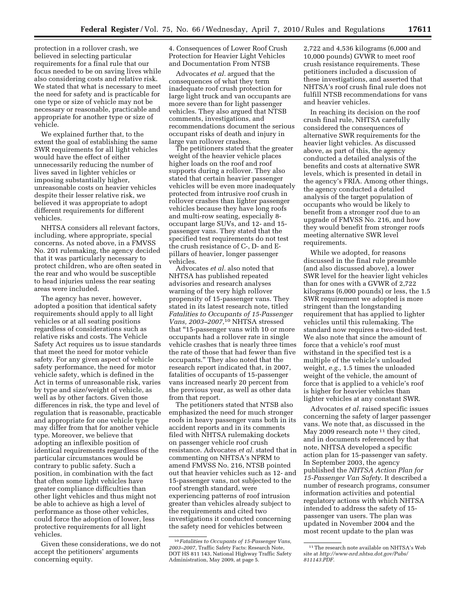protection in a rollover crash, we believed in selecting particular requirements for a final rule that our focus needed to be on saving lives while also considering costs and relative risk. We stated that what is necessary to meet the need for safety and is practicable for one type or size of vehicle may not be necessary or reasonable, practicable and appropriate for another type or size of vehicle.

We explained further that, to the extent the goal of establishing the same SWR requirements for all light vehicles would have the effect of either unnecessarily reducing the number of lives saved in lighter vehicles or imposing substantially higher, unreasonable costs on heavier vehicles despite their lesser relative risk, we believed it was appropriate to adopt different requirements for different vehicles.

NHTSA considers all relevant factors, including, where appropriate, special concerns. As noted above, in a FMVSS No. 201 rulemaking, the agency decided that it was particularly necessary to protect children, who are often seated in the rear and who would be susceptible to head injuries unless the rear seating areas were included.

The agency has never, however, adopted a position that identical safety requirements should apply to all light vehicles or at all seating positions regardless of considerations such as relative risks and costs. The Vehicle Safety Act requires us to issue standards that meet the need for motor vehicle safety. For any given aspect of vehicle safety performance, the need for motor vehicle safety, which is defined in the Act in terms of unreasonable risk, varies by type and size/weight of vehicle, as well as by other factors. Given those differences in risk, the type and level of regulation that is reasonable, practicable and appropriate for one vehicle type may differ from that for another vehicle type. Moreover, we believe that adopting an inflexible position of identical requirements regardless of the particular circumstances would be contrary to public safety. Such a position, in combination with the fact that often some light vehicles have greater compliance difficulties than other light vehicles and thus might not be able to achieve as high a level of performance as those other vehicles, could force the adoption of lower, less protective requirements for all light vehicles.

Given these considerations, we do not accept the petitioners' arguments concerning equity.

4. Consequences of Lower Roof Crush Protection for Heavier Light Vehicles and Documentation From NTSB

Advocates *et al.* argued that the consequences of what they term inadequate roof crush protection for large light truck and van occupants are more severe than for light passenger vehicles. They also argued that NTSB comments, investigations, and recommendations document the serious occupant risks of death and injury in large van rollover crashes.

The petitioners stated that the greater weight of the heavier vehicle places higher loads on the roof and roof supports during a rollover. They also stated that certain heavier passenger vehicles will be even more inadequately protected from intrusive roof crush in rollover crashes than lighter passenger vehicles because they have long roofs and multi-row seating, especially 8 occupant large SUVs, and 12- and 15 passenger vans. They stated that the specified test requirements do not test the crush resistance of C-, D- and Epillars of heavier, longer passenger vehicles.

Advocates *et al.* also noted that NHTSA has published repeated advisories and research analyses warning of the very high rollover propensity of 15-passenger vans. They stated in its latest research note, titled *Fatalities to Occupants of 15-Passenger Vans, 2003–2007,*10 NHTSA stressed that ''15-passenger vans with 10 or more occupants had a rollover rate in single vehicle crashes that is nearly three times the rate of those that had fewer than five occupants.'' They also noted that the research report indicated that, in 2007, fatalities of occupants of 15-passenger vans increased nearly 20 percent from the previous year, as well as other data from that report.

The petitioners stated that NTSB also emphasized the need for much stronger roofs in heavy passenger vans both in its accident reports and in its comments filed with NHTSA rulemaking dockets on passenger vehicle roof crush resistance. Advocates *et al.* stated that in commenting on NHTSA's NPRM to amend FMVSS No. 216, NTSB pointed out that heavier vehicles such as 12- and 15-passenger vans, not subjected to the roof strength standard, were experiencing patterns of roof intrusion greater than vehicles already subject to the requirements and cited two investigations it conducted concerning the safety need for vehicles between

2,722 and 4,536 kilograms (6,000 and 10,000 pounds) GVWR to meet roof crush resistance requirements. These petitioners included a discussion of these investigations, and asserted that NHTSA's roof crush final rule does not fulfill NTSB recommendations for vans and heavier vehicles.

In reaching its decision on the roof crush final rule, NHTSA carefully considered the consequences of alternative SWR requirements for the heavier light vehicles. As discussed above, as part of this, the agency conducted a detailed analysis of the benefits and costs at alternative SWR levels, which is presented in detail in the agency's FRIA. Among other things, the agency conducted a detailed analysis of the target population of occupants who would be likely to benefit from a stronger roof due to an upgrade of FMVSS No. 216, and how they would benefit from stronger roofs meeting alternative SWR level requirements.

While we adopted, for reasons discussed in the final rule preamble (and also discussed above), a lower SWR level for the heavier light vehicles than for ones with a GVWR of 2,722 kilograms (6,000 pounds) or less, the 1.5 SWR requirement we adopted is more stringent than the longstanding requirement that has applied to lighter vehicles until this rulemaking. The standard now requires a two-sided test. We also note that since the amount of force that a vehicle's roof must withstand in the specified test is a multiple of the vehicle's unloaded weight, *e.g.,* 1.5 times the unloaded weight of the vehicle, the amount of force that is applied to a vehicle's roof is higher for heavier vehicles than lighter vehicles at any constant SWR.

Advocates *et al.* raised specific issues concerning the safety of larger passenger vans. We note that, as discussed in the May 2009 research note<sup>11</sup> they cited, and in documents referenced by that note, NHTSA developed a specific action plan for 15-passenger van safety. In September 2003, the agency published the *NHTSA Action Plan for 15-Passenger Van Safety.* It described a number of research programs, consumer information activities and potential regulatory actions with which NHTSA intended to address the safety of 15 passenger van users. The plan was updated in November 2004 and the most recent update to the plan was

<sup>10</sup>*Fatalities to Occupants of 15-Passenger Vans, 2003–2007,* Traffic Safety Facts: Research Note, DOT HS 811 143, National Highway Traffic Safety Administration, May 2009, at page 5.

 $^{\rm 11}\rm{The}$  research note available on NHTSA's Web site at *http://www-nrd.nhtsa.dot.gov/Pubs/ 811143.PDF.*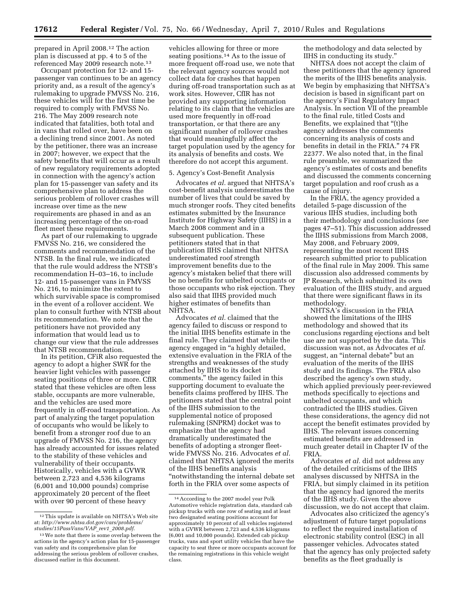prepared in April 2008.12 The action plan is discussed at pp. 4 to 5 of the referenced May 2009 research note.13

Occupant protection for 12- and 15 passenger van continues to be an agency priority and, as a result of the agency's rulemaking to upgrade FMVSS No. 216, these vehicles will for the first time be required to comply with FMVSS No. 216. The May 2009 research note indicated that fatalities, both total and in vans that rolled over, have been on a declining trend since 2001. As noted by the petitioner, there was an increase in 2007; however, we expect that the safety benefits that will occur as a result of new regulatory requirements adopted in connection with the agency's action plan for 15-passenger van safety and its comprehensive plan to address the serious problem of rollover crashes will increase over time as the new requirements are phased in and as an increasing percentage of the on-road fleet meet these requirements.

As part of our rulemaking to upgrade FMVSS No. 216, we considered the comments and recommendation of the NTSB. In the final rule, we indicated that the rule would address the NTSB's recommendation H–03–16, to include 12- and 15-passenger vans in FMVSS No. 216, to minimize the extent to which survivable space is compromised in the event of a rollover accident. We plan to consult further with NTSB about its recommendation. We note that the petitioners have not provided any information that would lead us to change our view that the rule addresses that NTSB recommendation.

In its petition, CFiR also requested the agency to adopt a higher SWR for the heavier light vehicles with passenger seating positions of three or more. CfIR stated that these vehicles are often less stable, occupants are more vulnerable, and the vehicles are used more frequently in off-road transportation. As part of analyzing the target population of occupants who would be likely to benefit from a stronger roof due to an upgrade of FMVSS No. 216, the agency has already accounted for issues related to the stability of these vehicles and vulnerability of their occupants. Historically, vehicles with a GVWR between 2,723 and 4,536 kilograms (6,001 and 10,000 pounds) comprise approximately 20 percent of the fleet with over 90 percent of these heavy

vehicles allowing for three or more seating positions.14 As to the issue of more frequent off-road use, we note that the relevant agency sources would not collect data for crashes that happen during off-road transportation such as at work sites. However, CfIR has not provided any supporting information relating to its claim that the vehicles are used more frequently in off-road transportation, or that there are any significant number of rollover crashes that would meaningfully affect the target population used by the agency for its analysis of benefits and costs. We therefore do not accept this argument.

#### 5. Agency's Cost-Benefit Analysis

Advocates *et al.* argued that NHTSA's cost-benefit analysis underestimates the number of lives that could be saved by much stronger roofs. They cited benefits estimates submitted by the Insurance Institute for Highway Safety (IIHS) in a March 2008 comment and in a subsequent publication. These petitioners stated that in that publication IIHS claimed that NHTSA underestimated roof strength improvement benefits due to the agency's mistaken belief that there will be no benefits for unbelted occupants or those occupants who risk ejection. They also said that IIHS provided much higher estimates of benefits than NHTSA.

Advocates *et al.* claimed that the agency failed to discuss or respond to the initial IIHS benefits estimate in the final rule. They claimed that while the agency engaged in ''a highly detailed, extensive evaluation in the FRIA of the strengths and weaknesses of the study attached by IIHS to its docket comments,'' the agency failed in this supporting document to evaluate the benefits claims proffered by IIHS. The petitioners stated that the central point of the IIHS submission to the supplemental notice of proposed rulemaking (SNPRM) docket was to emphasize that the agency had dramatically underestimated the benefits of adopting a stronger fleetwide FMVSS No. 216. Advocates *et al.*  claimed that NHTSA ignored the merits of the IIHS benefits analysis ''notwithstanding the internal debate set forth in the FRIA over some aspects of

the methodology and data selected by IIHS in conducting its study.''

NHTSA does not accept the claim of these petitioners that the agency ignored the merits of the IIHS benefits analysis. We begin by emphasizing that NHTSA's decision is based in significant part on the agency's Final Regulatory Impact Analysis. In section VII of the preamble to the final rule, titled Costs and Benefits, we explained that "(t)he agency addresses the comments concerning its analysis of costs and benefits in detail in the FRIA.'' 74 FR 22377. We also noted that, in the final rule preamble, we summarized the agency's estimates of costs and benefits and discussed the comments concerning target population and roof crush as a cause of injury.

In the FRIA, the agency provided a detailed 5-page discussion of the various IIHS studies, including both their methodology and conclusions (*see*  pages 47–51). This discussion addressed the IIHS submissions from March 2008, May 2008, and February 2009, representing the most recent IIHS research submitted prior to publication of the final rule in May 2009. This same discussion also addressed comments by JP Research, which submitted its own evaluation of the IIHS study, and argued that there were significant flaws in its methodology.

NHTSA's discussion in the FRIA showed the limitations of the IIHS methodology and showed that its conclusions regarding ejections and belt use are not supported by the data. This discussion was not, as Advocates *et al.*  suggest, an ''internal debate'' but an evaluation of the merits of the IIHS study and its findings. The FRIA also described the agency's own study, which applied previously peer-reviewed methods specifically to ejections and unbelted occupants, and which contradicted the IIHS studies. Given these considerations, the agency did not accept the benefit estimates provided by IIHS. The relevant issues concerning estimated benefits are addressed in much greater detail in Chapter IV of the FRIA.

Advocates *et al.* did not address any of the detailed criticisms of the IIHS analyses discussed by NHTSA in the FRIA, but simply claimed in its petition that the agency had ignored the merits of the IIHS study. Given the above discussion, we do not accept that claim.

Advocates also criticized the agency's adjustment of future target populations to reflect the required installation of electronic stability control (ESC) in all passenger vehicles. Advocates stated that the agency has only projected safety benefits as the fleet gradually is

<sup>12</sup>This update is available on NHTSA's Web site at: *http://www.nhtsa.dot.gov/cars/problems/ studies/15PassVans/VAP*\_*rev1*\_*2008.pdf*.

<sup>&</sup>lt;sup>13</sup> We note that there is some overlap between the actions in the agency's action plan for 15-passenger van safety and its comprehensive plan for addressing the serious problem of rollover crashes, discussed earlier in this document.

<sup>14</sup>According to the 2007 model year Polk Automotive vehicle registration data, standard cab pickup trucks with one row of seating and at least two designated seating positions account for approximately 10 percent of all vehicles registered with a GVWR between 2,723 and 4,536 kilograms (6,001 and 10,000 pounds). Extended cab pickup trucks, vans and sport utility vehicles that have the capacity to seat three or more occupants account for the remaining registrations in this vehicle weight class.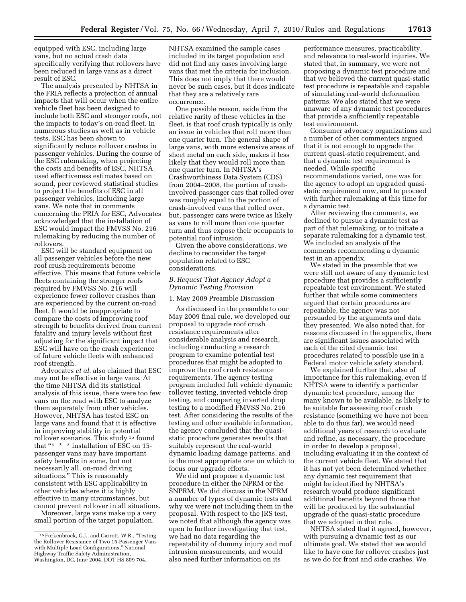equipped with ESC, including large vans, but no actual crash data specifically verifying that rollovers have been reduced in large vans as a direct result of ESC.

The analysis presented by NHTSA in the FRIA reflects a projection of annual impacts that will occur when the entire vehicle fleet has been designed to include both ESC and stronger roofs, not the impacts to today's on-road fleet. In numerous studies as well as in vehicle tests, ESC has been shown to significantly reduce rollover crashes in passenger vehicles. During the course of the ESC rulemaking, when projecting the costs and benefits of ESC, NHTSA used effectiveness estimates based on sound, peer reviewed statistical studies to project the benefits of ESC in all passenger vehicles, including large vans. We note that in comments concerning the PRIA for ESC, Advocates acknowledged that the installation of ESC would impact the FMVSS No. 216 rulemaking by reducing the number of rollovers.

ESC will be standard equipment on all passenger vehicles before the new roof crush requirements become effective. This means that future vehicle fleets containing the stronger roofs required by FMVSS No. 216 will experience fewer rollover crashes than are experienced by the current on-road fleet. It would be inappropriate to compare the costs of improving roof strength to benefits derived from current fatality and injury levels without first adjusting for the significant impact that ESC will have on the crash experience of future vehicle fleets with enhanced roof strength.

Advocates *et al.* also claimed that ESC may not be effective in large vans. At the time NHTSA did its statistical analysis of this issue, there were too few vans on the road with ESC to analyze them separately from other vehicles. However, NHTSA has tested ESC on large vans and found that it is effective in improving stability in potential rollover scenarios. This study 15 found that "\* \* \* installation of ESC on 15passenger vans may have important safety benefits in some, but not necessarily all, on-road driving situations.'' This is reasonably consistent with ESC applicability in other vehicles where it is highly effective in many circumstances, but cannot prevent rollover in all situations.

Moreover, large vans make up a very small portion of the target population.

NHTSA examined the sample cases included in its target population and did not find any cases involving large vans that met the criteria for inclusion. This does not imply that there would never be such cases, but it does indicate that they are a relatively rare occurrence.

One possible reason, aside from the relative rarity of these vehicles in the fleet, is that roof crush typically is only an issue in vehicles that roll more than one quarter turn. The general shape of large vans, with more extensive areas of sheet metal on each side, makes it less likely that they would roll more than one quarter turn. In NHTSA's Crashworthiness Data System (CDS) from 2004–2008, the portion of crashinvolved passenger cars that rolled over was roughly equal to the portion of crash-involved vans that rolled over, but, passenger cars were twice as likely as vans to roll more than one quarter turn and thus expose their occupants to potential roof intrusion.

Given the above considerations, we decline to reconsider the target population related to ESC considerations.

### *B. Request That Agency Adopt a Dynamic Testing Provision*

#### 1. May 2009 Preamble Discussion

As discussed in the preamble to our May 2009 final rule, we developed our proposal to upgrade roof crush resistance requirements after considerable analysis and research, including conducting a research program to examine potential test procedures that might be adopted to improve the roof crush resistance requirements. The agency testing program included full vehicle dynamic rollover testing, inverted vehicle drop testing, and comparing inverted drop testing to a modified FMVSS No. 216 test. After considering the results of the testing and other available information, the agency concluded that the quasistatic procedure generates results that suitably represent the real-world dynamic loading damage patterns, and is the most appropriate one on which to focus our upgrade efforts.

We did not propose a dynamic test procedure in either the NPRM or the SNPRM. We did discuss in the NPRM a number of types of dynamic tests and why we were not including them in the proposal. With respect to the JRS test, we noted that although the agency was open to further investigating that test, we had no data regarding the repeatability of dummy injury and roof intrusion measurements, and would also need further information on its

performance measures, practicability, and relevance to real-world injuries. We stated that, in summary, we were not proposing a dynamic test procedure and that we believed the current quasi-static test procedure is repeatable and capable of simulating real-world deformation patterns. We also stated that we were unaware of any dynamic test procedures that provide a sufficiently repeatable test environment.

Consumer advocacy organizations and a number of other commenters argued that it is not enough to upgrade the current quasi-static requirement, and that a dynamic test requirement is needed. While specific recommendations varied, one was for the agency to adopt an upgraded quasistatic requirement now, and to proceed with further rulemaking at this time for a dynamic test.

After reviewing the comments, we declined to pursue a dynamic test as part of that rulemaking, or to initiate a separate rulemaking for a dynamic test. We included an analysis of the comments recommending a dynamic test in an appendix.

We stated in the preamble that we were still not aware of any dynamic test procedure that provides a sufficiently repeatable test environment. We stated further that while some commenters argued that certain procedures are repeatable, the agency was not persuaded by the arguments and data they presented. We also noted that, for reasons discussed in the appendix, there are significant issues associated with each of the cited dynamic test procedures related to possible use in a Federal motor vehicle safety standard.

We explained further that, also of importance for this rulemaking, even if NHTSA were to identify a particular dynamic test procedure, among the many known to be available, as likely to be suitable for assessing roof crush resistance (something we have not been able to do thus far), we would need additional years of research to evaluate and refine, as necessary, the procedure in order to develop a proposal, including evaluating it in the context of the current vehicle fleet. We stated that it has not yet been determined whether any dynamic test requirement that might be identified by NHTSA's research would produce significant additional benefits beyond those that will be produced by the substantial upgrade of the quasi-static procedure that we adopted in that rule.

NHTSA stated that it agreed, however, with pursuing a dynamic test as our ultimate goal. We stated that we would like to have one for rollover crashes just as we do for front and side crashes. We

<sup>&</sup>lt;sup>15</sup> Forkenbrock, G.J., and Garrott, W.R., "Testing the Rollover Resistance of Two 15-Passenger Vans with Multiple Load Configurations,'' National Highway Traffic Safety Administration, Washington, DC, June 2004, DOT HS 809 704.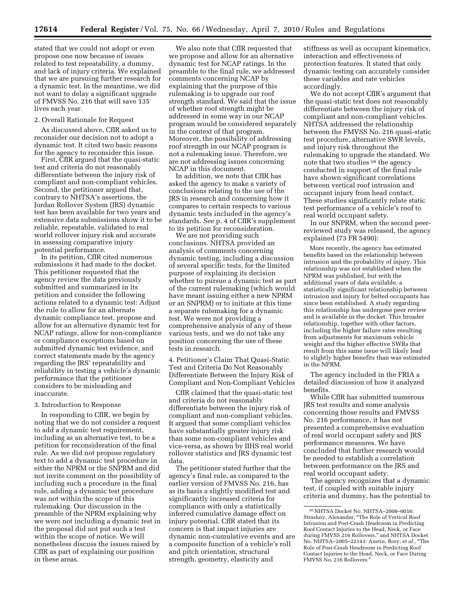stated that we could not adopt or even propose one now because of issues related to test repeatability, a dummy, and lack of injury criteria. We explained that we are pursuing further research for a dynamic test. In the meantime, we did not want to delay a significant upgrade of FMVSS No. 216 that will save 135 lives each year.

#### 2. Overall Rationale for Request

As discussed above, CfIR asked us to reconsider our decision not to adopt a dynamic test. It cited two basic reasons for the agency to reconsider this issue.

First, CfIR argued that the quasi-static test and criteria do not reasonably differentiate between the injury risk of compliant and non-compliant vehicles. Second, the petitioner argued that, contrary to NHTSA's assertions, the Jordan Rollover System (JRS) dynamic test has been available for two years and extensive data submissions show it to be reliable, repeatable, validated to real world rollover injury risk and accurate in assessing comparative injury potential performance.

In its petition, CfIR cited numerous submissions it had made to the docket. This petitioner requested that the agency review the data previously submitted and summarized in its petition and consider the following actions related to a dynamic test: Adjust the rule to allow for an alternate dynamic compliance test, propose and allow for an alternative dynamic test for NCAP ratings, allow for non-compliance or compliance exceptions based on submitted dynamic test evidence, and correct statements made by the agency regarding the JRS' repeatability and reliability in testing a vehicle's dynamic performance that the petitioner considers to be misleading and inaccurate.

#### 3. Introduction to Response

In responding to CfIR, we begin by noting that we do not consider a request to add a dynamic test requirement, including as an alternative test, to be a petition for reconsideration of the final rule. As we did not propose regulatory text to add a dynamic test procedure in either the NPRM or the SNPRM and did not invite comment on the possibility of including such a procedure in the final rule, adding a dynamic test procedure was not within the scope of this rulemaking. Our discussion in the preamble of the NPRM explaining why we were not including a dynamic test in the proposal did not put such a test within the scope of notice. We will nonetheless discuss the issues raised by CfIR as part of explaining our position in these areas.

We also note that CfIR requested that we propose and allow for an alternative dynamic test for NCAP ratings. In the preamble to the final rule, we addressed comments concerning NCAP by explaining that the purpose of this rulemaking is to upgrade our roof strength standard. We said that the issue of whether roof strength might be addressed in some way in our NCAP program would be considered separately in the context of that program. Moreover, the possibility of addressing roof strength in our NCAP program is not a rulemaking issue. Therefore, we are not addressing issues concerning NCAP in this document.

In addition, we note that CfIR has asked the agency to make a variety of conclusions relating to the use of the JRS in research and concerning how it compares to certain respects to various dynamic tests included in the agency's standards. *See* p. 4 of CfIR's supplement to its petition for reconsideration.

We are not providing such conclusions. NHTSA provided an analysis of comments concerning dynamic testing, including a discussion of several specific tests, for the limited purpose of explaining its decision whether to pursue a dynamic test as part of the current rulemaking (which would have meant issuing either a new NPRM or an SNPRM) or to initiate at this time a separate rulemaking for a dynamic test. We were not providing a comprehensive analysis of any of these various tests, and we do not take any position concerning the use of these tests in research.

4. Petitioner's Claim That Quasi-Static Test and Criteria Do Not Reasonably Differentiate Between the Injury Risk of Compliant and Non-Compliant Vehicles

CfIR claimed that the quasi-static test and criteria do not reasonably differentiate between the injury risk of compliant and non-compliant vehicles. It argued that some compliant vehicles have substantially greater injury risk than some non-compliant vehicles and vice-versa, as shown by IIHS real world rollover statistics and JRS dynamic test data.

The petitioner stated further that the agency's final rule, as compared to the earlier version of FMVSS No. 216, has as its basis a slightly modified test and significantly increased criteria for compliance with only a statistically inferred cumulative damage effect on injury potential. CfIR stated that its concern is that impact injuries are dynamic non-cumulative events and are a composite function of a vehicle's roll and pitch orientation, structural strength, geometry, elasticity and

stiffness as well as occupant kinematics, interaction and effectiveness of protection features. It stated that only dynamic testing can accurately consider these variables and rate vehicles accordingly.

We do not accept CfIR's argument that the quasi-static test does not reasonably differentiate between the injury risk of compliant and non-compliant vehicles. NHTSA addressed the relationship between the FMVSS No. 216 quasi-static test procedure, alternative SWR levels, and injury risk throughout the rulemaking to upgrade the standard. We note that two studies 16 the agency conducted in support of the final rule have shown significant correlations between vertical roof intrusion and occupant injury from head contact. These studies significantly relate static test performance of a vehicle's roof to real world occupant safety.

In our SNPRM, when the second peerreviewed study was released, the agency explained (73 FR 5490):

More recently, the agency has estimated benefits based on the relationship between intrusion and the probability of injury. This relationship was not established when the NPRM was published, but with the additional years of data available, a statistically significant relationship between intrusion and injury for belted occupants has since been established. A study regarding this relationship has undergone peer review and is available in the docket. This broader relationship, together with other factors, including the higher failure rates resulting from adjustments for maximum vehicle weight and the higher effective SWRs that result from this same issue will likely lead to slightly higher benefits than was estimated in the NPRM.

The agency included in the FRIA a detailed discussion of how it analyzed benefits.

While CfIR has submitted numerous JRS test results and some analysis concerning those results and FMVSS No. 216 performance, it has not presented a comprehensive evaluation of real world occupant safety and JRS performance measures. We have concluded that further research would be needed to establish a correlation between performance on the JRS and real world occupant safety.

The agency recognizes that a dynamic test, if coupled with suitable injury criteria and dummy, has the potential to

<sup>16</sup>NHTSA Docket No. NHTSA–2008–0016: Strashny, Alexander, ''The Role of Vertical Roof Intrusion and Post-Crash Headroom in Predicting Roof Contact Injuries to the Head, Neck, or Face during FMVSS 216 Rollovers,'' and NHTSA Docket No. NHTSA–2005–22143: Austin, Rory, *et al.,* ''The Role of Post-Crash Headroom in Predicting Roof Contact Injuries to the Head, Neck, or Face During FMVSS No. 216 Rollovers.''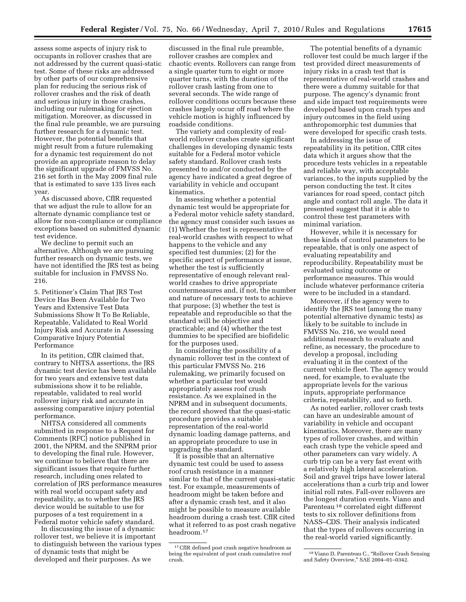assess some aspects of injury risk to occupants in rollover crashes that are not addressed by the current quasi-static test. Some of these risks are addressed by other parts of our comprehensive plan for reducing the serious risk of rollover crashes and the risk of death and serious injury in those crashes, including our rulemaking for ejection mitigation. Moreover, as discussed in the final rule preamble, we are pursuing further research for a dynamic test. However, the potential benefits that might result from a future rulemaking for a dynamic test requirement do not provide an appropriate reason to delay the significant upgrade of FMVSS No. 216 set forth in the May 2009 final rule that is estimated to save 135 lives each year.

As discussed above, CfIR requested that we adjust the rule to allow for an alternate dynamic compliance test or allow for non-compliance or compliance exceptions based on submitted dynamic test evidence.

We decline to permit such an alternative. Although we are pursuing further research on dynamic tests, we have not identified the JRS test as being suitable for inclusion in FMVSS No. 216.

5. Petitioner's Claim That JRS Test Device Has Been Available for Two Years and Extensive Test Data Submissions Show It To Be Reliable, Repeatable, Validated to Real World Injury Risk and Accurate in Assessing Comparative Injury Potential Performance

In its petition, CfIR claimed that, contrary to NHTSA assertions, the JRS dynamic test device has been available for two years and extensive test data submissions show it to be reliable, repeatable, validated to real world rollover injury risk and accurate in assessing comparative injury potential performance.

NHTSA considered all comments submitted in response to a Request for Comments (RFC) notice published in 2001, the NPRM, and the SNPRM prior to developing the final rule. However, we continue to believe that there are significant issues that require further research, including ones related to correlation of JRS performance measures with real world occupant safety and repeatability, as to whether the JRS device would be suitable to use for purposes of a test requirement in a Federal motor vehicle safety standard.

In discussing the issue of a dynamic rollover test, we believe it is important to distinguish between the various types of dynamic tests that might be developed and their purposes. As we

discussed in the final rule preamble, rollover crashes are complex and chaotic events. Rollovers can range from a single quarter turn to eight or more quarter turns, with the duration of the rollover crash lasting from one to several seconds. The wide range of rollover conditions occurs because these crashes largely occur off road where the vehicle motion is highly influenced by roadside conditions.

The variety and complexity of realworld rollover crashes create significant challenges in developing dynamic tests suitable for a Federal motor vehicle safety standard. Rollover crash tests presented to and/or conducted by the agency have indicated a great degree of variability in vehicle and occupant kinematics.

In assessing whether a potential dynamic test would be appropriate for a Federal motor vehicle safety standard, the agency must consider such issues as (1) Whether the test is representative of real-world crashes with respect to what happens to the vehicle and any specified test dummies; (2) for the specific aspect of performance at issue, whether the test is sufficiently representative of enough relevant realworld crashes to drive appropriate countermeasures and, if not, the number and nature of necessary tests to achieve that purpose; (3) whether the test is repeatable and reproducible so that the standard will be objective and practicable; and (4) whether the test dummies to be specified are biofidelic for the purposes used.

In considering the possibility of a dynamic rollover test in the context of this particular FMVSS No. 216 rulemaking, we primarily focused on whether a particular test would appropriately assess roof crush resistance. As we explained in the NPRM and in subsequent documents, the record showed that the quasi-static procedure provides a suitable representation of the real-world dynamic loading damage patterns, and an appropriate procedure to use in upgrading the standard.

It is possible that an alternative dynamic test could be used to assess roof crush resistance in a manner similar to that of the current quasi-static test. For example, measurements of headroom might be taken before and after a dynamic crash test, and it also might be possible to measure available headroom during a crash test. CfIR cited what it referred to as post crash negative headroom.17

The potential benefits of a dynamic rollover test could be much larger if the test provided direct measurements of injury risks in a crash test that is representative of real-world crashes and there were a dummy suitable for that purpose. The agency's dynamic front and side impact test requirements were developed based upon crash types and injury outcomes in the field using anthropomorphic test dummies that were developed for specific crash tests.

In addressing the issue of repeatability in its petition, CfIR cites data which it argues show that the procedure tests vehicles in a repeatable and reliable way, with acceptable variances, to the inputs supplied by the person conducting the test. It cites variances for road speed, contact pitch angle and contact roll angle. The data it presented suggest that it is able to control these test parameters with minimal variation.

However, while it is necessary for these kinds of control parameters to be repeatable, that is only one aspect of evaluating repeatability and reproducibility. Repeatability must be evaluated using outcome or performance measures. This would include whatever performance criteria were to be included in a standard.

Moreover, if the agency were to identify the JRS test (among the many potential alternative dynamic tests) as likely to be suitable to include in FMVSS No. 216, we would need additional research to evaluate and refine, as necessary, the procedure to develop a proposal, including evaluating it in the context of the current vehicle fleet. The agency would need, for example, to evaluate the appropriate levels for the various inputs, appropriate performance criteria, repeatability, and so forth.

As noted earlier, rollover crash tests can have an undesirable amount of variability in vehicle and occupant kinematics. Moreover, there are many types of rollover crashes, and within each crash type the vehicle speed and other parameters can vary widely. A curb trip can be a very fast event with a relatively high lateral acceleration. Soil and gravel trips have lower lateral accelerations than a curb trip and lower initial roll rates. Fall-over rollovers are the longest duration events. Viano and Parenteau 18 correlated eight different tests to six rollover definitions from NASS–CDS. Their analysis indicated that the types of rollovers occurring in the real-world varied significantly.

<sup>17</sup>CfIR defined post crash negative headroom as being the equivalent of post crash cumulative roof crush.

<sup>18</sup> Viano D, Parenteau C., ''Rollover Crash Sensing and Safety Overview,'' SAE 2004–01–0342.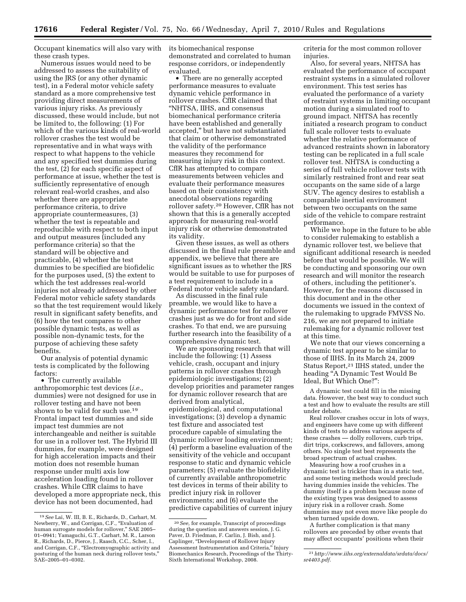Occupant kinematics will also vary with its biomechanical response these crash types.

Numerous issues would need to be addressed to assess the suitability of using the JRS (or any other dynamic test), in a Federal motor vehicle safety standard as a more comprehensive test providing direct measurements of various injury risks. As previously discussed, these would include, but not be limited to, the following: (1) For which of the various kinds of real-world rollover crashes the test would be representative and in what ways with respect to what happens to the vehicle and any specified test dummies during the test, (2) for each specific aspect of performance at issue, whether the test is sufficiently representative of enough relevant real-world crashes, and also whether there are appropriate performance criteria, to drive appropriate countermeasures, (3) whether the test is repeatable and reproducible with respect to both input and output measures (included any performance criteria) so that the standard will be objective and practicable, (4) whether the test dummies to be specified are biofidelic for the purposes used, (5) the extent to which the test addresses real-world injuries not already addressed by other Federal motor vehicle safety standards so that the test requirement would likely result in significant safety benefits, and (6) how the test compares to other possible dynamic tests, as well as possible non-dynamic tests, for the purpose of achieving these safety benefits.

Our analysis of potential dynamic tests is complicated by the following factors:

• The currently available anthropomorphic test devices (*i.e.,*  dummies) were not designed for use in rollover testing and have not been shown to be valid for such use.19 Frontal impact test dummies and side impact test dummies are not interchangeable and neither is suitable for use in a rollover test. The Hybrid III dummies, for example, were designed for high acceleration impacts and their motion does not resemble human response under multi axis low acceleration loading found in rollover crashes. While CfIR claims to have developed a more appropriate neck, this device has not been documented, had

demonstrated and correlated to human response corridors, or independently evaluated.

• There are no generally accepted performance measures to evaluate dynamic vehicle performance in rollover crashes. CfIR claimed that ''NHTSA, IIHS, and consensus biomechanical performance criteria have been established and generally accepted,'' but have not substantiated that claim or otherwise demonstrated the validity of the performance measures they recommend for measuring injury risk in this context. CfIR has attempted to compare measurements between vehicles and evaluate their performance measures based on their consistency with anecdotal observations regarding rollover safety.20 However, CfIR has not shown that this is a generally accepted approach for measuring real-world injury risk or otherwise demonstrated its validity.

Given these issues, as well as others discussed in the final rule preamble and appendix, we believe that there are significant issues as to whether the JRS would be suitable to use for purposes of a test requirement to include in a Federal motor vehicle safety standard.

As discussed in the final rule preamble, we would like to have a dynamic performance test for rollover crashes just as we do for front and side crashes. To that end, we are pursuing further research into the feasibility of a comprehensive dynamic test.

We are sponsoring research that will include the following: (1) Assess vehicle, crash, occupant and injury patterns in rollover crashes through epidemiologic investigations; (2) develop priorities and parameter ranges for dynamic rollover research that are derived from analytical, epidemiological, and computational investigations; (3) develop a dynamic test fixture and associated test procedure capable of simulating the dynamic rollover loading environment; (4) perform a baseline evaluation of the sensitivity of the vehicle and occupant response to static and dynamic vehicle parameters; (5) evaluate the biofidelity of currently available anthropometric test devices in terms of their ability to predict injury risk in rollover environments; and (6) evaluate the predictive capabilities of current injury

criteria for the most common rollover injuries.

Also, for several years, NHTSA has evaluated the performance of occupant restraint systems in a simulated rollover environment. This test series has evaluated the performance of a variety of restraint systems in limiting occupant motion during a simulated roof to ground impact. NHTSA has recently initiated a research program to conduct full scale rollover tests to evaluate whether the relative performance of advanced restraints shown in laboratory testing can be replicated in a full scale rollover test. NHTSA is conducting a series of full vehicle rollover tests with similarly restrained front and rear seat occupants on the same side of a large SUV. The agency desires to establish a comparable inertial environment between two occupants on the same side of the vehicle to compare restraint performance.

While we hope in the future to be able to consider rulemaking to establish a dynamic rollover test, we believe that significant additional research is needed before that would be possible. We will be conducting and sponsoring our own research and will monitor the research of others, including the petitioner's. However, for the reasons discussed in this document and in the other documents we issued in the context of the rulemaking to upgrade FMVSS No. 216, we are not prepared to initiate rulemaking for a dynamic rollover test at this time.

We note that our views concerning a dynamic test appear to be similar to those of IIHS. In its March 24, 2009 Status Report,21 IIHS stated, under the heading ''A Dynamic Test Would Be Ideal, But Which One?'':

A dynamic test could fill in the missing data. However, the best way to conduct such a test and how to evaluate the results are still under debate.

Real rollover crashes occur in lots of ways, and engineers have come up with different kinds of tests to address various aspects of these crashes — dolly rollovers, curb trips, dirt trips, corkscrews, and fallovers, among others. No single test best represents the broad spectrum of actual crashes.

Measuring how a roof crushes in a dynamic test is trickier than in a static test, and some testing methods would preclude having dummies inside the vehicles. The dummy itself is a problem because none of the existing types was designed to assess injury risk in a rollover crash. Some dummies may not even move like people do when turned upside down.

A further complication is that many rollovers are preceded by other events that may affect occupants' positions when their

<sup>19</sup>*See* Lai, W. III, B. E., Richards, D., Carhart, M. Newberry, W., and Corrigan, C.F., "Evaluation of human surrogate models for rollover," SAE 2005-01–0941; Yamaguchi, G.T., Carhart, M. R., Larson R., Richards, D., Pierce, J., Raasch, C.C., Scher, I., and Corrigan, C.F., ''Electromyographic activity and posturing of the human neck during rollover tests,'' SAE–2005–01–0302.

<sup>20</sup>*See,* for example, Transcript of proceedings during the question and answers session, J. G. Paver, D. Friedman, F. Carlin, J. Bish, and J. Caplinger, ''Development of Rollover Injury Assessment Instrumentation and Criteria,'' Injury Biomechanics Research, Proceedings of the Thirty-Sixth International Workshop, 2008.

<sup>21</sup>*http://www.iihs.org/externaldata/srdata/docs/ sr4403.pdf.*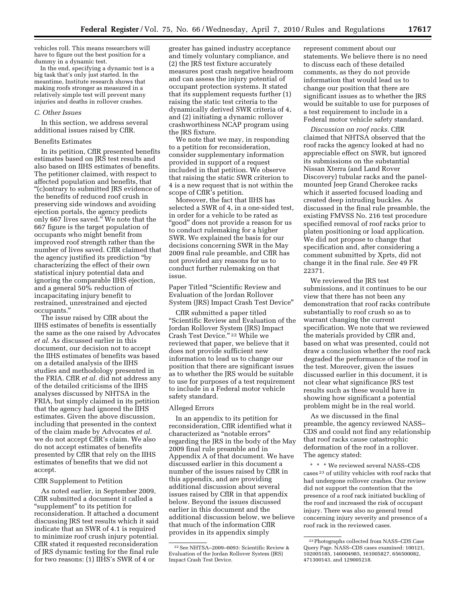vehicles roll. This means researchers will have to figure out the best position for a dummy in a dynamic test.

In the end, specifying a dynamic test is a big task that's only just started. In the meantime, Institute research shows that making roofs stronger as measured in a relatively simple test will prevent many injuries and deaths in rollover crashes.

### *C. Other Issues*

In this section, we address several additional issues raised by CfIR.

#### Benefits Estimates

In its petition, CfIR presented benefits estimates based on JRS test results and also based on IIHS estimates of benefits. The petitioner claimed, with respect to affected population and benefits, that ''(c)ontrary to submitted JRS evidence of the benefits of reduced roof crush in preserving side windows and avoiding ejection portals, the agency predicts only 667 lives saved.'' We note that the 667 figure is the target population of occupants who might benefit from improved roof strength rather than the number of lives saved. CfIR claimed that the agency justified its prediction ''by characterizing the effect of their own statistical injury potential data and ignoring the comparable IIHS ejection, and a general 50% reduction of incapacitating injury benefit to restrained, unrestrained and ejected occupants.''

The issue raised by CfIR about the IIHS estimates of benefits is essentially the same as the one raised by Advocates *et al.* As discussed earlier in this document, our decision not to accept the IIHS estimates of benefits was based on a detailed analysis of the IIHS studies and methodology presented in the FRIA. CfIR *et al.* did not address any of the detailed criticisms of the IIHS analyses discussed by NHTSA in the FRIA, but simply claimed in its petition that the agency had ignored the IIHS estimates. Given the above discussion, including that presented in the context of the claim made by Advocates *et al.*  we do not accept CfIR's claim. We also do not accept estimates of benefits presented by CfIR that rely on the IIHS estimates of benefits that we did not accept.

### CfIR Supplement to Petition

As noted earlier, in September 2009, CfIR submitted a document it called a ''supplement'' to its petition for reconsideration. It attached a document discussing JRS test results which it said indicate that an SWR of 4.1 is required to minimize roof crush injury potential. CfIR stated it requested reconsideration of JRS dynamic testing for the final rule for two reasons: (1) IIHS's SWR of 4 or

greater has gained industry acceptance and timely voluntary compliance, and (2) the JRS test fixture accurately measures post crash negative headroom and can assess the injury potential of occupant protection systems. It stated that its supplement requests further (1) raising the static test criteria to the dynamically derived SWR criteria of 4, and (2) initiating a dynamic rollover crashworthiness NCAP program using the JRS fixture.

We note that we may, in responding to a petition for reconsideration, consider supplementary information provided in support of a request included in that petition. We observe that raising the static SWR criterion to 4 is a new request that is not within the scope of CfIR's petition.

Moreover, the fact that IIHS has selected a SWR of 4, in a one-sided test, in order for a vehicle to be rated as "good" does not provide a reason for us to conduct rulemaking for a higher SWR. We explained the basis for our decisions concerning SWR in the May 2009 final rule preamble, and CfIR has not provided any reasons for us to conduct further rulemaking on that issue.

Paper Titled ''Scientific Review and Evaluation of the Jordan Rollover System (JRS) Impact Crash Test Device''

CfIR submitted a paper titled ''Scientific Review and Evaluation of the Jordan Rollover System (JRS) Impact Crash Test Device.'' 22 While we reviewed that paper, we believe that it does not provide sufficient new information to lead us to change our position that there are significant issues as to whether the JRS would be suitable to use for purposes of a test requirement to include in a Federal motor vehicle safety standard.

#### Alleged Errors

In an appendix to its petition for reconsideration, CfIR identified what it characterized as ''notable errors'' regarding the JRS in the body of the May 2009 final rule preamble and in Appendix A of that document. We have discussed earlier in this document a number of the issues raised by CfIR in this appendix, and are providing additional discussion about several issues raised by CfIR in that appendix below. Beyond the issues discussed earlier in this document and the additional discussion below, we believe that much of the information CfIR provides in its appendix simply

represent comment about our statements. We believe there is no need to discuss each of these detailed comments, as they do not provide information that would lead us to change our position that there are significant issues as to whether the JRS would be suitable to use for purposes of a test requirement to include in a Federal motor vehicle safety standard.

*Discussion on roof racks.* CfIR claimed that NHTSA observed that the roof racks the agency looked at had no appreciable effect on SWR, but ignored its submissions on the substantial Nissan Xterra (and Land Rover Discovery) tubular racks and the panelmounted Jeep Grand Cherokee racks which it asserted focused loading and created deep intruding buckles. As discussed in the final rule preamble, the existing FMVSS No. 216 test procedure specified removal of roof racks prior to platen positioning or load application. We did not propose to change that specification and, after considering a comment submitted by Xprts, did not change it in the final rule. *See* 49 FR 22371.

We reviewed the JRS test submissions, and it continues to be our view that there has not been any demonstration that roof racks contribute substantially to roof crush so as to warrant changing the current specification. We note that we reviewed the materials provided by CfIR and, based on what was presented, could not draw a conclusion whether the roof rack degraded the performance of the roof in the test. Moreover, given the issues discussed earlier in this document, it is not clear what significance JRS test results such as these would have in showing how significant a potential problem might be in the real world.

As we discussed in the final preamble, the agency reviewed NASS– CDS and could not find any relationship that roof racks cause catastrophic deformation of the roof in a rollover. The agency stated:

\* \* \* We reviewed several NASS–CDS cases 23 of utility vehicles with roof racks that had undergone rollover crashes. Our review did not support the contention that the presence of a roof rack initiated buckling of the roof and increased the risk of occupant injury. There was also no general trend concerning injury severity and presence of a roof rack in the reviewed cases.

<sup>22</sup>See NHTSA–2009–0093: Scientific Review & Evaluation of the Jordan Rollover System (JRS) Impact Crash Test Device.

<sup>23</sup>Photographs collected from NASS–CDS Case Query Page. NASS–CDS cases examined: 100121, 102005185, 146004985, 161005827, 656500082, 471300143, and 129005218.